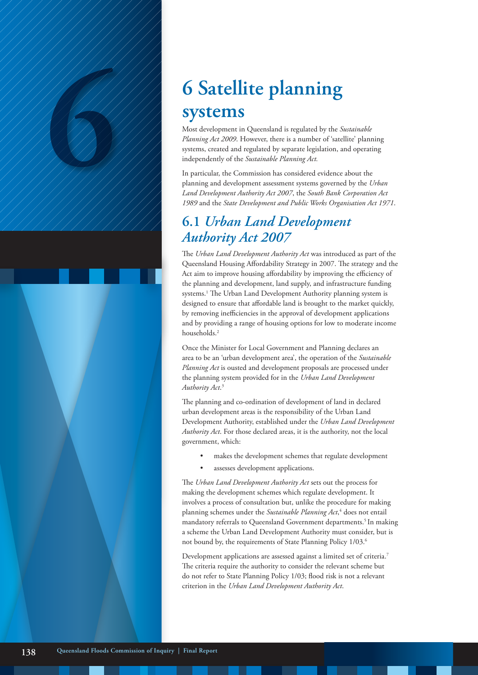# **6 Satellite planning**<br> **6 Satellite planning**<br>
Most development in Queensland is regulated by the *Su*<br> *Planning Act 2009.* However, there is a number of 'satell<br>
systems, created and regulated by separate legislatio **systems**

Most development in Queensland is regulated by the *Sustainable Planning Act 2009*. However, there is a number of 'satellite' planning systems, created and regulated by separate legislation, and operating independently of the *Sustainable Planning Act.*

In particular, the Commission has considered evidence about the planning and development assessment systems governed by the *Urban Land Development Authority Act 2007*, the *South Bank Corporation Act 1989* and the *State Development and Public Works Organisation Act 1971*.

# **6.1** *Urban Land Development Authority Act 2007*

The *Urban Land Development Authority Act* was introduced as part of the Queensland Housing Affordability Strategy in 2007. The strategy and the Act aim to improve housing affordability by improving the efficiency of the planning and development, land supply, and infrastructure funding systems.<sup>1</sup> The Urban Land Development Authority planning system is designed to ensure that affordable land is brought to the market quickly, by removing inefficiencies in the approval of development applications and by providing a range of housing options for low to moderate income households.<sup>2</sup>

Once the Minister for Local Government and Planning declares an area to be an 'urban development area', the operation of the *Sustainable Planning Act* is ousted and development proposals are processed under the planning system provided for in the *Urban Land Development Authority Act*. 3

The planning and co-ordination of development of land in declared urban development areas is the responsibility of the Urban Land Development Authority, established under the *Urban Land Development Authority Act*. For those declared areas, it is the authority, not the local government, which:

- makes the development schemes that regulate development
- assesses development applications.

The *Urban Land Development Authority Act* sets out the process for making the development schemes which regulate development. It involves a process of consultation but, unlike the procedure for making planning schemes under the *Sustainable Planning Act*, 4 does not entail mandatory referrals to Queensland Government departments.<sup>5</sup> In making a scheme the Urban Land Development Authority must consider, but is not bound by, the requirements of State Planning Policy 1/03.6

Development applications are assessed against a limited set of criteria.7 The criteria require the authority to consider the relevant scheme but do not refer to State Planning Policy 1/03; flood risk is not a relevant criterion in the *Urban Land Development Authority Act*.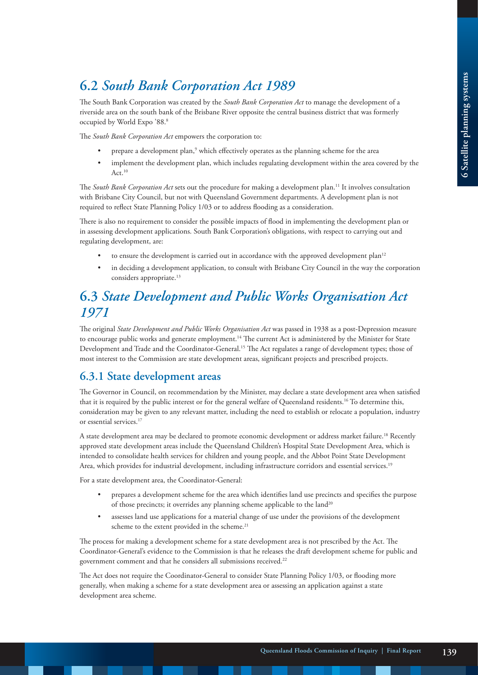# **6.2** *South Bank Corporation Act 1989*

The South Bank Corporation was created by the *South Bank Corporation Act* to manage the development of a riverside area on the south bank of the Brisbane River opposite the central business district that was formerly occupied by World Expo '88.8

The *South Bank Corporation Act* empowers the corporation to:

- prepare a development plan,<sup>9</sup> which effectively operates as the planning scheme for the area
- implement the development plan, which includes regulating development within the area covered by the Act.<sup>10</sup>

The *South Bank Corporation Act* sets out the procedure for making a development plan.11 It involves consultation with Brisbane City Council, but not with Queensland Government departments. A development plan is not required to reflect State Planning Policy 1/03 or to address flooding as a consideration.

There is also no requirement to consider the possible impacts of flood in implementing the development plan or in assessing development applications. South Bank Corporation's obligations, with respect to carrying out and regulating development, are:

- to ensure the development is carried out in accordance with the approved development plan<sup>12</sup>
- in deciding a development application, to consult with Brisbane City Council in the way the corporation considers appropriate.<sup>13</sup>

# **6.3** *State Development and Public Works Organisation Act 1971*

The original *State Development and Public Works Organisation Act* was passed in 1938 as a post-Depression measure to encourage public works and generate employment.14 The current Act is administered by the Minister for State Development and Trade and the Coordinator-General.15 The Act regulates a range of development types; those of most interest to the Commission are state development areas, significant projects and prescribed projects.

### **6.3.1 State development areas**

The Governor in Council, on recommendation by the Minister, may declare a state development area when satisfied that it is required by the public interest or for the general welfare of Queensland residents.16 To determine this, consideration may be given to any relevant matter, including the need to establish or relocate a population, industry or essential services.<sup>17</sup>

A state development area may be declared to promote economic development or address market failure.18 Recently approved state development areas include the Queensland Children's Hospital State Development Area, which is intended to consolidate health services for children and young people, and the Abbot Point State Development Area, which provides for industrial development, including infrastructure corridors and essential services.<sup>19</sup>

For a state development area, the Coordinator-General:

- prepares a development scheme for the area which identifies land use precincts and specifies the purpose of those precincts; it overrides any planning scheme applicable to the land<sup>20</sup>
- assesses land use applications for a material change of use under the provisions of the development scheme to the extent provided in the scheme.<sup>21</sup>

The process for making a development scheme for a state development area is not prescribed by the Act. The Coordinator-General's evidence to the Commission is that he releases the draft development scheme for public and government comment and that he considers all submissions received.<sup>22</sup>

The Act does not require the Coordinator-General to consider State Planning Policy 1/03, or flooding more generally, when making a scheme for a state development area or assessing an application against a state development area scheme.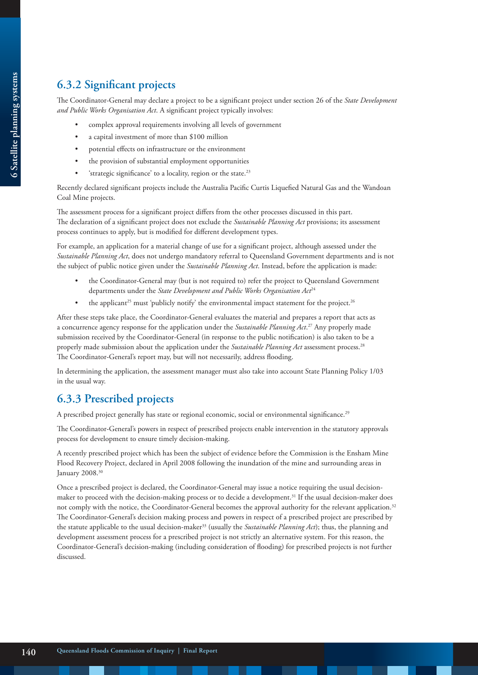## **6.3.2 Significant projects**

The Coordinator-General may declare a project to be a significant project under section 26 of the *State Development and Public Works Organisation Act*. A significant project typically involves:

- complex approval requirements involving all levels of government
- a capital investment of more than \$100 million
- potential effects on infrastructure or the environment
- the provision of substantial employment opportunities
- 'strategic significance' to a locality, region or the state.<sup>23</sup>

Recently declared significant projects include the Australia Pacific Curtis Liquefied Natural Gas and the Wandoan Coal Mine projects.

The assessment process for a significant project differs from the other processes discussed in this part. The declaration of a significant project does not exclude the *Sustainable Planning Act* provisions; its assessment process continues to apply, but is modified for different development types.

For example, an application for a material change of use for a significant project, although assessed under the *Sustainable Planning Act*, does not undergo mandatory referral to Queensland Government departments and is not the subject of public notice given under the *Sustainable Planning Act*. Instead, before the application is made:

- the Coordinator-General may (but is not required to) refer the project to Queensland Government departments under the *State Development and Public Works Organisation Act<sup>24</sup>*
- the applicant<sup>25</sup> must 'publicly notify' the environmental impact statement for the project.<sup>26</sup>

After these steps take place, the Coordinator-General evaluates the material and prepares a report that acts as a concurrence agency response for the application under the *Sustainable Planning Act*. 27 Any properly made submission received by the Coordinator-General (in response to the public notification) is also taken to be a properly made submission about the application under the *Sustainable Planning Act* assessment process.28 The Coordinator-General's report may, but will not necessarily, address flooding.

In determining the application, the assessment manager must also take into account State Planning Policy 1/03 in the usual way.

## **6.3.3 Prescribed projects**

A prescribed project generally has state or regional economic, social or environmental significance.<sup>29</sup>

The Coordinator-General's powers in respect of prescribed projects enable intervention in the statutory approvals process for development to ensure timely decision-making.

A recently prescribed project which has been the subject of evidence before the Commission is the Ensham Mine Flood Recovery Project, declared in April 2008 following the inundation of the mine and surrounding areas in January 2008.<sup>30</sup>

Once a prescribed project is declared, the Coordinator-General may issue a notice requiring the usual decisionmaker to proceed with the decision-making process or to decide a development.31 If the usual decision-maker does not comply with the notice, the Coordinator-General becomes the approval authority for the relevant application.<sup>32</sup> The Coordinator-General's decision making process and powers in respect of a prescribed project are prescribed by the statute applicable to the usual decision-maker33 (usually the *Sustainable Planning Act*); thus, the planning and development assessment process for a prescribed project is not strictly an alternative system. For this reason, the Coordinator-General's decision-making (including consideration of flooding) for prescribed projects is not further discussed.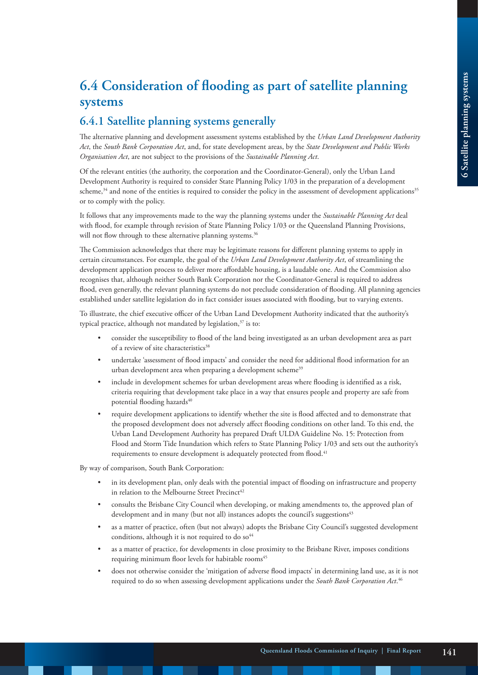# **6.4 Consideration of flooding as part of satellite planning systems**

### **6.4.1 Satellite planning systems generally**

The alternative planning and development assessment systems established by the *Urban Land Development Authority Act*, the *South Bank Corporation Act*, and, for state development areas, by the *State Development and Public Works Organisation Act*, are not subject to the provisions of the *Sustainable Planning Act*.

Of the relevant entities (the authority, the corporation and the Coordinator-General), only the Urban Land Development Authority is required to consider State Planning Policy 1/03 in the preparation of a development scheme, $34$  and none of the entities is required to consider the policy in the assessment of development applications<sup>35</sup> or to comply with the policy.

It follows that any improvements made to the way the planning systems under the *Sustainable Planning Act* deal with flood, for example through revision of State Planning Policy 1/03 or the Queensland Planning Provisions, will not flow through to these alternative planning systems.<sup>36</sup>

The Commission acknowledges that there may be legitimate reasons for different planning systems to apply in certain circumstances. For example, the goal of the *Urban Land Development Authority Act*, of streamlining the development application process to deliver more affordable housing, is a laudable one. And the Commission also recognises that, although neither South Bank Corporation nor the Coordinator-General is required to address flood, even generally, the relevant planning systems do not preclude consideration of flooding. All planning agencies established under satellite legislation do in fact consider issues associated with flooding, but to varying extents.

To illustrate, the chief executive officer of the Urban Land Development Authority indicated that the authority's typical practice, although not mandated by legislation, $37$  is to:

- consider the susceptibility to flood of the land being investigated as an urban development area as part of a review of site characteristics<sup>38</sup>
- undertake 'assessment of flood impacts' and consider the need for additional flood information for an urban development area when preparing a development scheme<sup>39</sup>
- include in development schemes for urban development areas where flooding is identified as a risk, criteria requiring that development take place in a way that ensures people and property are safe from potential flooding hazards<sup>40</sup>
- require development applications to identify whether the site is flood affected and to demonstrate that the proposed development does not adversely affect flooding conditions on other land. To this end, the Urban Land Development Authority has prepared Draft ULDA Guideline No. 15: Protection from Flood and Storm Tide Inundation which refers to State Planning Policy 1/03 and sets out the authority's requirements to ensure development is adequately protected from flood.<sup>41</sup>

By way of comparison, South Bank Corporation:

- in its development plan, only deals with the potential impact of flooding on infrastructure and property in relation to the Melbourne Street Precinct<sup>42</sup>
- consults the Brisbane City Council when developing, or making amendments to, the approved plan of development and in many (but not all) instances adopts the council's suggestions<sup>43</sup>
- as a matter of practice, often (but not always) adopts the Brisbane City Council's suggested development conditions, although it is not required to do  $so^{44}$
- as a matter of practice, for developments in close proximity to the Brisbane River, imposes conditions requiring minimum floor levels for habitable rooms<sup>45</sup>
- does not otherwise consider the 'mitigation of adverse flood impacts' in determining land use, as it is not required to do so when assessing development applications under the *South Bank Corporation Act*. 46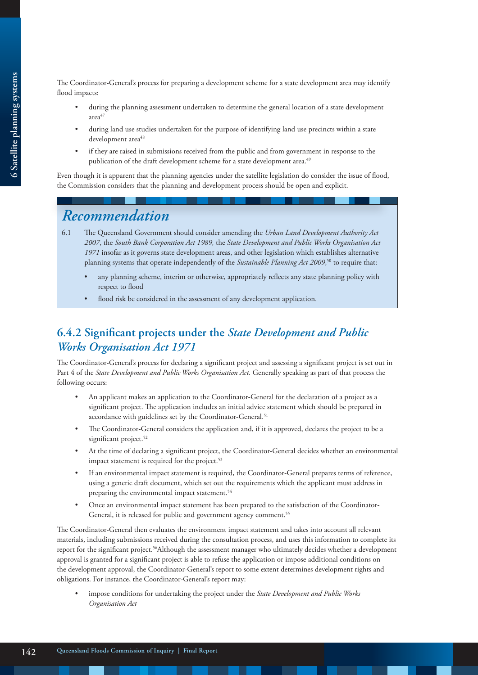The Coordinator-General's process for preparing a development scheme for a state development area may identify flood impacts:

- during the planning assessment undertaken to determine the general location of a state development area<sup>47</sup>
- during land use studies undertaken for the purpose of identifying land use precincts within a state development area<sup>48</sup>
- if they are raised in submissions received from the public and from government in response to the publication of the draft development scheme for a state development area.<sup>49</sup>

Even though it is apparent that the planning agencies under the satellite legislation do consider the issue of flood, the Commission considers that the planning and development process should be open and explicit.

# *Recommendation*

- 6.1 The Queensland Government should consider amending the *Urban Land Development Authority Act 2007*, the *South Bank Corporation Act 1989,* the *State Development and Public Works Organisation Act 1971* insofar as it governs state development areas, and other legislation which establishes alternative planning systems that operate independently of the *Sustainable Planning Act 2009*, 50 to require that:
	- any planning scheme, interim or otherwise, appropriately reflects any state planning policy with respect to flood
	- flood risk be considered in the assessment of any development application.

### **6.4.2 Significant projects under the** *State Development and Public Works Organisation Act 1971*

The Coordinator-General's process for declaring a significant project and assessing a significant project is set out in Part 4 of the *State Development and Public Works Organisation Act*. Generally speaking as part of that process the following occurs:

- An applicant makes an application to the Coordinator-General for the declaration of a project as a significant project. The application includes an initial advice statement which should be prepared in accordance with guidelines set by the Coordinator-General.<sup>51</sup>
- The Coordinator-General considers the application and, if it is approved, declares the project to be a significant project.<sup>52</sup>
- At the time of declaring a significant project, the Coordinator-General decides whether an environmental impact statement is required for the project.<sup>53</sup>
- If an environmental impact statement is required, the Coordinator-General prepares terms of reference, using a generic draft document, which set out the requirements which the applicant must address in preparing the environmental impact statement.<sup>54</sup>
- Once an environmental impact statement has been prepared to the satisfaction of the Coordinator-General, it is released for public and government agency comment.<sup>55</sup>

The Coordinator-General then evaluates the environment impact statement and takes into account all relevant materials, including submissions received during the consultation process, and uses this information to complete its report for the significant project.<sup>56</sup>Although the assessment manager who ultimately decides whether a development approval is granted for a significant project is able to refuse the application or impose additional conditions on the development approval, the Coordinator-General's report to some extent determines development rights and obligations. For instance, the Coordinator-General's report may:

• impose conditions for undertaking the project under the *State Development and Public Works Organisation Act*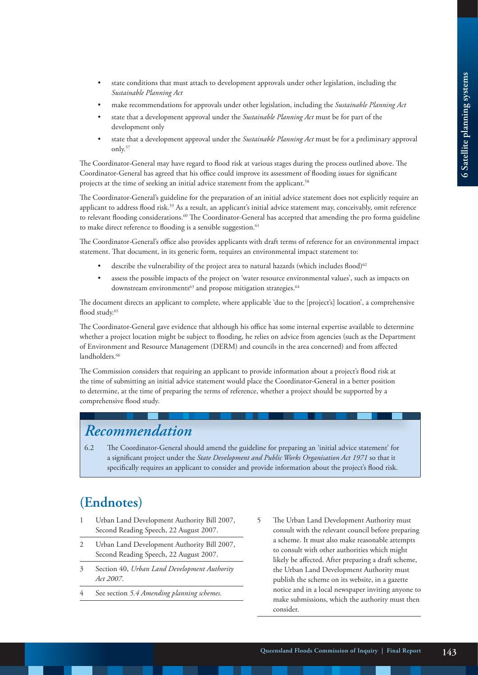- state conditions that must attach to development approvals under other legislation, including the *Sustainable Planning Act*
- make recommendations for approvals under other legislation, including the *Sustainable Planning Act*
- state that a development approval under the *Sustainable Planning Act* must be for part of the development only
- state that a development approval under the *Sustainable Planning Act* must be for a preliminary approval only.57

The Coordinator-General may have regard to flood risk at various stages during the process outlined above. The Coordinator-General has agreed that his office could improve its assessment of flooding issues for significant projects at the time of seeking an initial advice statement from the applicant.<sup>58</sup>

The Coordinator-General's guideline for the preparation of an initial advice statement does not explicitly require an applicant to address flood risk.<sup>59</sup> As a result, an applicant's initial advice statement may, conceivably, omit reference to relevant flooding considerations.<sup>60</sup> The Coordinator-General has accepted that amending the pro forma guideline to make direct reference to flooding is a sensible suggestion.<sup>61</sup>

The Coordinator-General's office also provides applicants with draft terms of reference for an environmental impact statement. That document, in its generic form, requires an environmental impact statement to:

- describe the vulnerability of the project area to natural hazards (which includes flood)<sup>62</sup>
- assess the possible impacts of the project on 'water resource environmental values', such as impacts on downstream environments $^{63}$  and propose mitigation strategies. $^{64}$

The document directs an applicant to complete, where applicable 'due to the [project's] location', a comprehensive flood study.<sup>65</sup>

The Coordinator-General gave evidence that although his office has some internal expertise available to determine whether a project location might be subject to flooding, he relies on advice from agencies (such as the Department of Environment and Resource Management (DERM) and councils in the area concerned) and from affected landholders<sup>66</sup>

The Commission considers that requiring an applicant to provide information about a project's flood risk at the time of submitting an initial advice statement would place the Coordinator-General in a better position to determine, at the time of preparing the terms of reference, whether a project should be supported by a comprehensive flood study.

# *Recommendation*

6.2 The Coordinator-General should amend the guideline for preparing an 'initial advice statement' for a significant project under the *State Development and Public Works Organisation Act 1971* so that it specifically requires an applicant to consider and provide information about the project's flood risk.

# **(Endnotes)**

- 1 Urban Land Development Authority Bill 2007, Second Reading Speech, 22 August 2007.
- 2 Urban Land Development Authority Bill 2007, Second Reading Speech, 22 August 2007.
- 3 Section 40, *Urban Land Development Authority Act 2007*.
- 4 See section *5.4 Amending planning schemes.*
- 5 The Urban Land Development Authority must consult with the relevant council before preparing a scheme. It must also make reasonable attempts to consult with other authorities which might likely be affected. After preparing a draft scheme, the Urban Land Development Authority must publish the scheme on its website, in a gazette notice and in a local newspaper inviting anyone to make submissions, which the authority must then consider.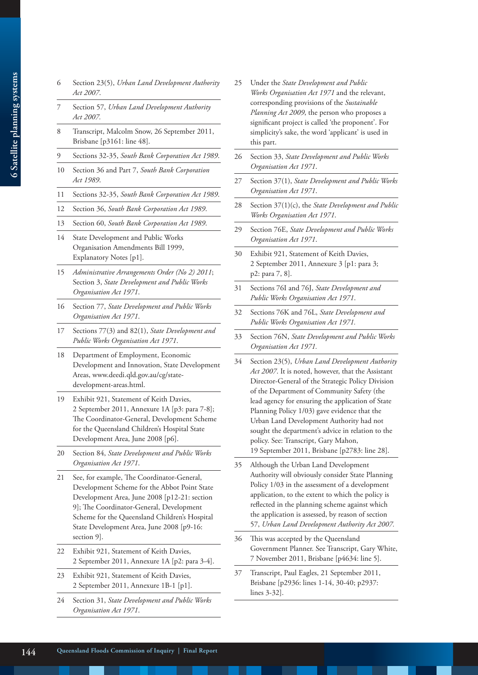- 6 Section 23(5), *Urban Land Development Authority Act 2007*.
- 7 Section 57, *Urban Land Development Authority Act 2007.*
- 8 Transcript, Malcolm Snow, 26 September 2011, Brisbane [p3161: line 48].
- 9 Sections 32-35, *South Bank Corporation Act 1989*.
- 10 Section 36 and Part 7, *South Bank Corporation Act 1989*.
- 11 Sections 32-35, *South Bank Corporation Act 1989*.
- 12 Section 36, *South Bank Corporation Act 1989*.
- 13 Section 60, *South Bank Corporation Act 1989*.
- 14 State Development and Public Works Organisation Amendments Bill 1999, Explanatory Notes [p1].
- 15 *Administrative Arrangements Order (No 2) 2011*; Section 3, *State Development and Public Works Organisation Act 1971*.
- 16 Section 77, *State Development and Public Works Organisation Act 1971*.
- 17 Sections 77(3) and 82(1), *State Development and Public Works Organisation Act 1971*.
- 18 Department of Employment, Economic Development and Innovation, State Development Areas, www.deedi.qld.gov.au/cg/statedevelopment-areas.html.
- 19 Exhibit 921, Statement of Keith Davies, 2 September 2011, Annexure 1A [p3: para 7-8]; The Coordinator-General, Development Scheme for the Queensland Children's Hospital State Development Area, June 2008 [p6].
- 20 Section 84, *State Development and Public Works Organisation Act 1971*.
- 21 See, for example, The Coordinator-General, Development Scheme for the Abbot Point State Development Area, June 2008 [p12-21: section 9]; The Coordinator-General, Development Scheme for the Queensland Children's Hospital State Development Area, June 2008 [p9-16: section 9].
- 22 Exhibit 921, Statement of Keith Davies, 2 September 2011, Annexure 1A [p2: para 3-4].
- 23 Exhibit 921, Statement of Keith Davies, 2 September 2011, Annexure 1B-1 [p1].
- 24 Section 31, *State Development and Public Works Organisation Act 1971*.
- 25 Under the *State Development and Public Works Organisation Act 1971* and the relevant, corresponding provisions of the *Sustainable Planning Act 2009*, the person who proposes a significant project is called 'the proponent'. For simplicity's sake, the word 'applicant' is used in this part.
- 26 Section 33, *State Development and Public Works Organisation Act 1971*.
- 27 Section 37(1), *State Development and Public Works Organisation Act 1971*.
- 28 Section 37(1)(c), the *State Development and Public Works Organisation Act 1971*.
- 29 Section 76E, *State Development and Public Works Organisation Act 1971*.
- 30 Exhibit 921, Statement of Keith Davies, 2 September 2011, Annexure 3 [p1: para 3; p2: para 7, 8].
- 31 Sections 76I and 76J, *State Development and Public Works Organisation Act 1971*.
- 32 Sections 76K and 76L, *State Development and Public Works Organisation Act 1971.*
- 33 Section 76N, *State Development and Public Works Organisation Act 1971.*
- 34 Section 23(5), *Urban Land Development Authority Act 2007*. It is noted, however, that the Assistant Director-General of the Strategic Policy Division of the Department of Community Safety (the lead agency for ensuring the application of State Planning Policy 1/03) gave evidence that the Urban Land Development Authority had not sought the department's advice in relation to the policy. See: Transcript, Gary Mahon, 19 September 2011, Brisbane [p2783: line 28].
- 35 Although the Urban Land Development Authority will obviously consider State Planning Policy 1/03 in the assessment of a development application, to the extent to which the policy is reflected in the planning scheme against which the application is assessed, by reason of section 57, *Urban Land Development Authority Act 2007.*
- 36 This was accepted by the Queensland Government Planner. See Transcript, Gary White, 7 November 2011, Brisbane [p4634: line 5].
- 37 Transcript, Paul Eagles, 21 September 2011, Brisbane [p2936: lines 1-14, 30-40; p2937: lines 3-32].